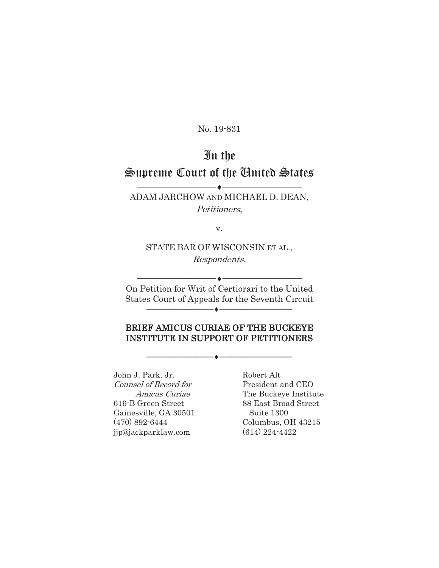No. 19-831

# In the Supreme Court of the United States

ADAM JARCHOW AND MICHAEL D. DEAN, Petitioners,

 $-\bullet-\,$ 

v.

STATE BAR OF WISCONSIN ET AL., Respondents.

On Petition for Writ of Certiorari to the United States Court of Appeals for the Seventh Circuit ɔɔɔɔɔɔɔɔɔɔɔɔiɔɔɔɔɔɔɔɔɔɔɔɔɔ

 $\overline{\phantom{a}}$ 

### BRIEF AMICUS CURIAE OF THE BUCKEYE INSTITUTE IN SUPPORT OF PETITIONERS

 $\overline{\phantom{a}}$   $\overline{\phantom{a}}$   $\overline{\phantom{a}}$   $\overline{\phantom{a}}$   $\overline{\phantom{a}}$   $\overline{\phantom{a}}$   $\overline{\phantom{a}}$   $\overline{\phantom{a}}$   $\overline{\phantom{a}}$   $\overline{\phantom{a}}$   $\overline{\phantom{a}}$   $\overline{\phantom{a}}$   $\overline{\phantom{a}}$   $\overline{\phantom{a}}$   $\overline{\phantom{a}}$   $\overline{\phantom{a}}$   $\overline{\phantom{a}}$   $\overline{\phantom{a}}$   $\overline{\$ 

John J. Park, Jr. Robert Alt Counsel of Record for President and CEO 616-B Green Street 88 East Broad Street Gainesville, GA 30501 Suite 1300 (470) 892-6444 Columbus, OH 43215 jjp@jackparklaw.com (614) 224-4422

Amicus Curiae The Buckeye Institute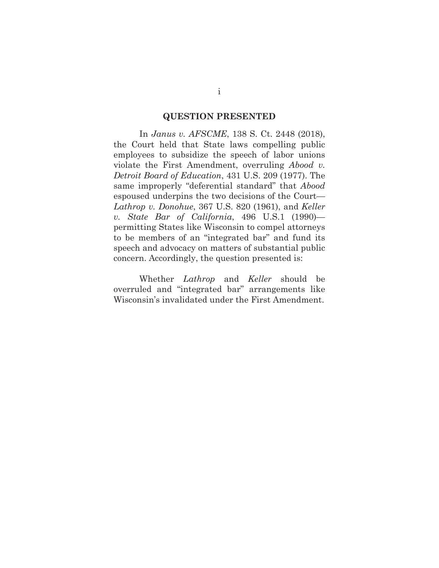#### **QUESTION PRESENTED**

 In *Janus v. AFSCME*, 138 S. Ct. 2448 (2018), the Court held that State laws compelling public employees to subsidize the speech of labor unions violate the First Amendment, overruling *Abood v. Detroit Board of Education*, 431 U.S. 209 (1977). The same improperly "deferential standard" that *Abood*  espoused underpins the two decisions of the Court— *Lathrop v. Donohue*, 367 U.S. 820 (1961), and *Keller v. State Bar of California*, 496 U.S.1 (1990) permitting States like Wisconsin to compel attorneys to be members of an "integrated bar" and fund its speech and advocacy on matters of substantial public concern. Accordingly, the question presented is:

 Whether *Lathrop* and *Keller* should be overruled and "integrated bar" arrangements like Wisconsin's invalidated under the First Amendment.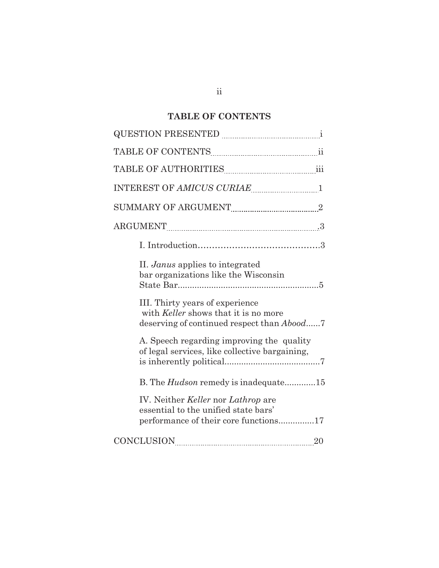# **TABLE OF CONTENTS**

| TABLE OF CONTENTS <b>MALLE 19</b> III                                                                                |
|----------------------------------------------------------------------------------------------------------------------|
| TABLE OF AUTHORITIES [111] TABLE OF AUTHORITIES                                                                      |
| INTEREST OF AMICUS CURIAE 1                                                                                          |
| $\label{eq:sum} \textrm{SUMMARY OF ARGUMENT} \xrightarrow{~~} 2$                                                     |
|                                                                                                                      |
|                                                                                                                      |
| II. Janus applies to integrated<br>bar organizations like the Wisconsin                                              |
| III. Thirty years of experience<br>with Keller shows that it is no more<br>deserving of continued respect than Abood |
| A. Speech regarding improving the quality<br>of legal services, like collective bargaining,                          |
| B. The <i>Hudson</i> remedy is inadequate15                                                                          |
| IV. Neither Keller nor Lathrop are<br>essential to the unified state bars'<br>performance of their core functions17  |
| <b>CONCLUSION</b><br>20                                                                                              |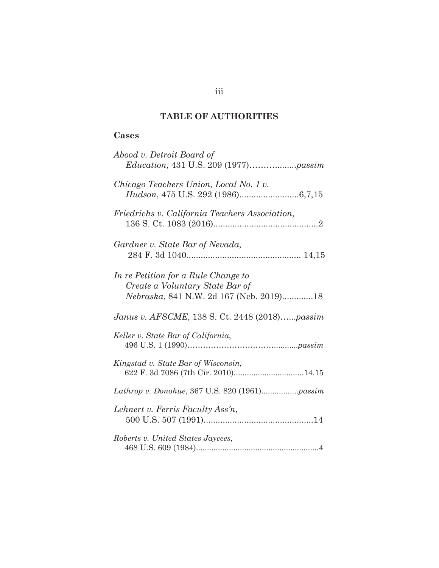# **TABLE OF AUTHORITIES**

## **Cases**

| Abood v. Detroit Board of<br><i>Education</i> , 431 U.S. 209 (1977) <i>passim</i>                                 |
|-------------------------------------------------------------------------------------------------------------------|
| Chicago Teachers Union, Local No. 1 v.                                                                            |
| Friedrichs v. California Teachers Association,                                                                    |
| Gardner v. State Bar of Nevada,                                                                                   |
| In re Petition for a Rule Change to<br>Create a Voluntary State Bar of<br>Nebraska, 841 N.W. 2d 167 (Neb. 2019)18 |
| Janus v. AFSCME, 138 S. Ct. 2448 (2018)passim                                                                     |
| Keller v. State Bar of California,                                                                                |
| Kingstad v. State Bar of Wisconsin,<br>622 F. 3d 7086 (7th Cir. 2010)14.15                                        |
|                                                                                                                   |
| Lehnert v. Ferris Faculty Ass'n,                                                                                  |
| Roberts v. United States Jaycees,                                                                                 |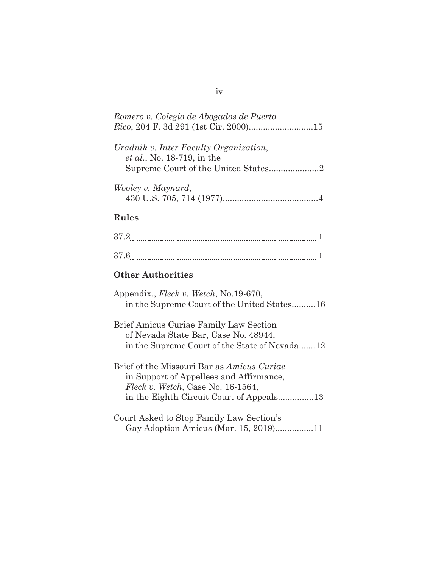| Romero v. Colegio de Abogados de Puerto                                      |
|------------------------------------------------------------------------------|
| Uradnik v. Inter Faculty Organization,<br><i>et al.</i> , No. 18-719, in the |
|                                                                              |
| Wooley v. Maynard,                                                           |

# **Rules**

| 372<br>. .     |  |
|----------------|--|
|                |  |
| 37 G<br>------ |  |

# **Other Authorities**

| Appendix., <i>Fleck v. Wetch</i> , No.19-670,<br>in the Supreme Court of the United States16                                         |
|--------------------------------------------------------------------------------------------------------------------------------------|
| Brief Amicus Curiae Family Law Section<br>of Nevada State Bar, Case No. 48944,<br>in the Supreme Court of the State of Nevada12      |
| Brief of the Missouri Bar as <i>Amicus Curige</i><br>in Support of Appellees and Affirmance,<br>Fleck v. Wetch, Case No. $16-1564$ , |
| Court Asked to Stop Family Law Section's<br>Gay Adoption Amicus (Mar. 15, 2019)11                                                    |

## iv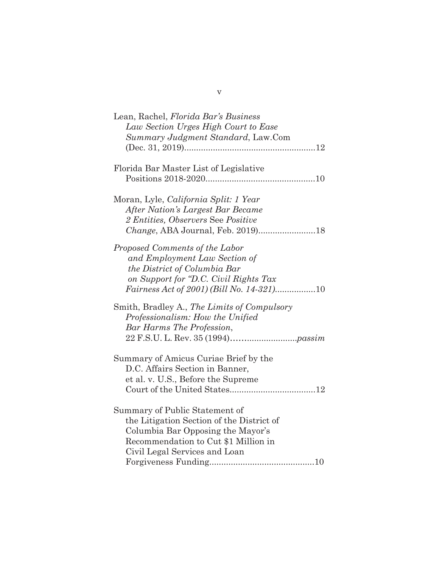| Lean, Rachel, Florida Bar's Business         |
|----------------------------------------------|
| Law Section Urges High Court to Ease         |
| Summary Judgment Standard, Law.Com           |
|                                              |
|                                              |
| Florida Bar Master List of Legislative       |
|                                              |
| Moran, Lyle, <i>California Split: 1 Year</i> |
| After Nation's Largest Bar Became            |
| 2 Entities, Observers See Positive           |
|                                              |
|                                              |
| Proposed Comments of the Labor               |
| and Employment Law Section of                |
| the District of Columbia Bar                 |
| on Support for "D.C. Civil Rights Tax        |
| Fairness Act of 2001) (Bill No. 14-321)10    |
| Smith, Bradley A., The Limits of Compulsory  |
| Professionalism: How the Unified             |
| Bar Harms The Profession,                    |
|                                              |
|                                              |
| Summary of Amicus Curiae Brief by the        |
| D.C. Affairs Section in Banner,              |
| et al. v. U.S., Before the Supreme           |
|                                              |
|                                              |
| Summary of Public Statement of               |
| the Litigation Section of the District of    |
| Columbia Bar Opposing the Mayor's            |
| Recommendation to Cut \$1 Million in         |
| Civil Legal Services and Loan                |
|                                              |

v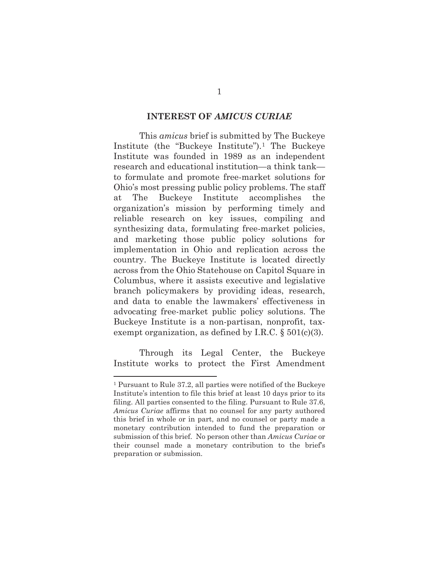#### **INTEREST OF** *AMICUS CURIAE*

 This *amicus* brief is submitted by The Buckeye Institute (the "Buckeye Institute").1 The Buckeye Institute was founded in 1989 as an independent research and educational institution—a think tank to formulate and promote free-market solutions for Ohio's most pressing public policy problems. The staff at The Buckeye Institute accomplishes the organization's mission by performing timely and reliable research on key issues, compiling and synthesizing data, formulating free-market policies, and marketing those public policy solutions for implementation in Ohio and replication across the country. The Buckeye Institute is located directly across from the Ohio Statehouse on Capitol Square in Columbus, where it assists executive and legislative branch policymakers by providing ideas, research, and data to enable the lawmakers' effectiveness in advocating free-market public policy solutions. The Buckeye Institute is a non-partisan, nonprofit, taxexempt organization, as defined by I.R.C.  $\S 501(c)(3)$ .

 Through its Legal Center, the Buckeye Institute works to protect the First Amendment

<sup>1</sup> Pursuant to Rule 37.2, all parties were notified of the Buckeye Institute's intention to file this brief at least 10 days prior to its filing. All parties consented to the filing. Pursuant to Rule 37.6, *Amicus Curiae* affirms that no counsel for any party authored this brief in whole or in part, and no counsel or party made a monetary contribution intended to fund the preparation or submission of this brief. No person other than *Amicus Curiae* or their counsel made a monetary contribution to the brief's preparation or submission.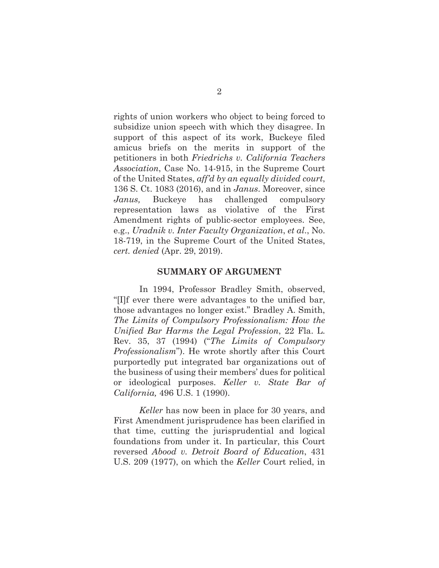rights of union workers who object to being forced to subsidize union speech with which they disagree. In support of this aspect of its work, Buckeye filed amicus briefs on the merits in support of the petitioners in both *Friedrichs v. California Teachers Association*, Case No. 14-915, in the Supreme Court of the United States, *aff'd by an equally divided court*, 136 S. Ct. 1083 (2016), and in *Janus*. Moreover, since *Janus,* Buckeye has challenged compulsory representation laws as violative of the First Amendment rights of public-sector employees. See, e.g., *Uradnik v. Inter Faculty Organization*, *et al*., No. 18-719, in the Supreme Court of the United States, *cert. denied* (Apr. 29, 2019).

#### **SUMMARY OF ARGUMENT**

 In 1994, Professor Bradley Smith, observed, "[I]f ever there were advantages to the unified bar, those advantages no longer exist." Bradley A. Smith, *The Limits of Compulsory Professionalism: How the Unified Bar Harms the Legal Profession*, 22 Fla. L. Rev. 35, 37 (1994) ("*The Limits of Compulsory Professionalism*"). He wrote shortly after this Court purportedly put integrated bar organizations out of the business of using their members' dues for political or ideological purposes. *Keller v. State Bar of California,* 496 U.S. 1 (1990).

*Keller* has now been in place for 30 years, and First Amendment jurisprudence has been clarified in that time, cutting the jurisprudential and logical foundations from under it. In particular, this Court reversed *Abood v. Detroit Board of Education*, 431 U.S. 209 (1977), on which the *Keller* Court relied, in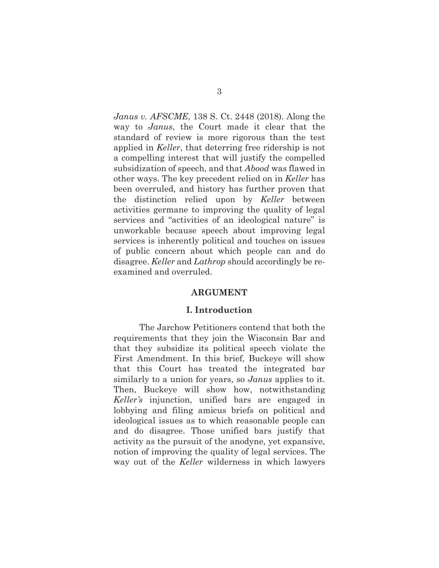*Janus v. AFSCME*, 138 S. Ct. 2448 (2018). Along the way to *Janus*, the Court made it clear that the standard of review is more rigorous than the test applied in *Keller*, that deterring free ridership is not a compelling interest that will justify the compelled subsidization of speech, and that *Abood* was flawed in other ways. The key precedent relied on in *Keller* has been overruled, and history has further proven that the distinction relied upon by *Keller* between activities germane to improving the quality of legal services and "activities of an ideological nature" is unworkable because speech about improving legal services is inherently political and touches on issues of public concern about which people can and do disagree. *Keller* and *Lathrop* should accordingly be reexamined and overruled.

#### **ARGUMENT**

#### **I. Introduction**

 The Jarchow Petitioners contend that both the requirements that they join the Wisconsin Bar and that they subsidize its political speech violate the First Amendment. In this brief, Buckeye will show that this Court has treated the integrated bar similarly to a union for years, so *Janus* applies to it. Then, Buckeye will show how, notwithstanding *Keller's* injunction, unified bars are engaged in lobbying and filing amicus briefs on political and ideological issues as to which reasonable people can and do disagree. Those unified bars justify that activity as the pursuit of the anodyne, yet expansive, notion of improving the quality of legal services. The way out of the *Keller* wilderness in which lawyers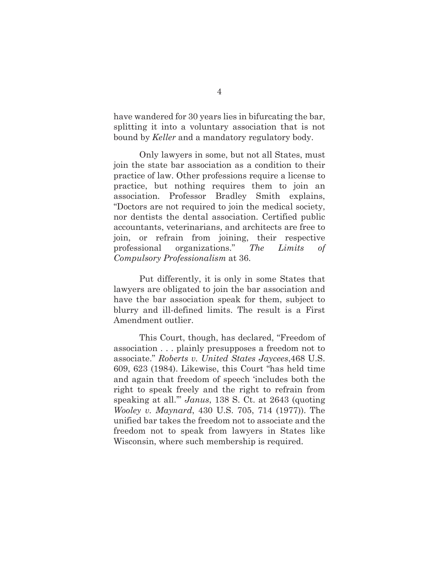have wandered for 30 years lies in bifurcating the bar, splitting it into a voluntary association that is not bound by *Keller* and a mandatory regulatory body.

 Only lawyers in some, but not all States, must join the state bar association as a condition to their practice of law. Other professions require a license to practice, but nothing requires them to join an association. Professor Bradley Smith explains, "Doctors are not required to join the medical society, nor dentists the dental association. Certified public accountants, veterinarians, and architects are free to join, or refrain from joining, their respective professional organizations." *The Limits of Compulsory Professionalism* at 36.

 Put differently, it is only in some States that lawyers are obligated to join the bar association and have the bar association speak for them, subject to blurry and ill-defined limits. The result is a First Amendment outlier.

 This Court, though, has declared, "Freedom of association . . . plainly presupposes a freedom not to associate." *Roberts v. United States Jaycees*,468 U.S. 609, 623 (1984). Likewise, this Court "has held time and again that freedom of speech 'includes both the right to speak freely and the right to refrain from speaking at all.'" *Janus*, 138 S. Ct. at 2643 (quoting *Wooley v. Maynard*, 430 U.S. 705, 714 (1977)). The unified bar takes the freedom not to associate and the freedom not to speak from lawyers in States like Wisconsin, where such membership is required.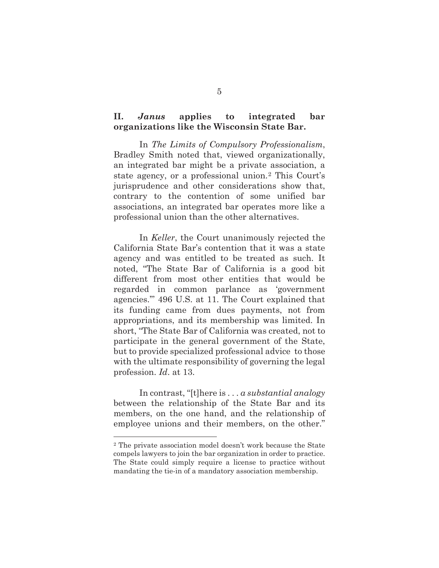### **II.** *Janus* **applies to integrated bar organizations like the Wisconsin State Bar.**

 In *The Limits of Compulsory Professionalism*, Bradley Smith noted that, viewed organizationally, an integrated bar might be a private association, a state agency, or a professional union.2 This Court's jurisprudence and other considerations show that, contrary to the contention of some unified bar associations, an integrated bar operates more like a professional union than the other alternatives.

 In *Keller*, the Court unanimously rejected the California State Bar's contention that it was a state agency and was entitled to be treated as such. It noted, "The State Bar of California is a good bit different from most other entities that would be regarded in common parlance as 'government agencies.'" 496 U.S. at 11. The Court explained that its funding came from dues payments, not from appropriations, and its membership was limited. In short, "The State Bar of California was created, not to participate in the general government of the State, but to provide specialized professional advice to those with the ultimate responsibility of governing the legal profession. *Id*. at 13.

 In contrast, "[t]here is . . . *a substantial analogy* between the relationship of the State Bar and its members, on the one hand, and the relationship of employee unions and their members, on the other."

<sup>2</sup> The private association model doesn't work because the State compels lawyers to join the bar organization in order to practice. The State could simply require a license to practice without mandating the tie-in of a mandatory association membership.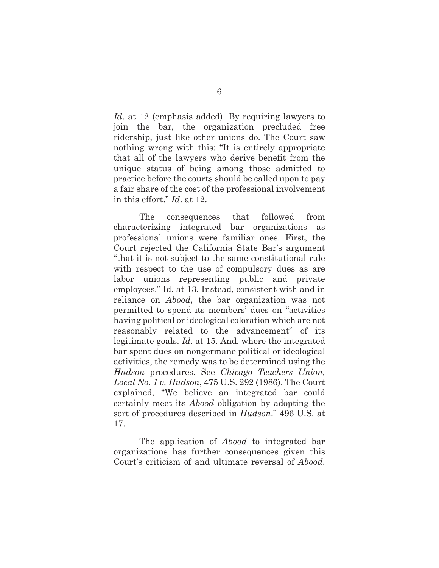*Id*. at 12 (emphasis added). By requiring lawyers to join the bar, the organization precluded free ridership, just like other unions do. The Court saw nothing wrong with this: "It is entirely appropriate that all of the lawyers who derive benefit from the unique status of being among those admitted to practice before the courts should be called upon to pay a fair share of the cost of the professional involvement in this effort." *Id*. at 12.

 The consequences that followed from characterizing integrated bar organizations as professional unions were familiar ones. First, the Court rejected the California State Bar's argument "that it is not subject to the same constitutional rule with respect to the use of compulsory dues as are labor unions representing public and private employees." Id. at 13. Instead, consistent with and in reliance on *Abood*, the bar organization was not permitted to spend its members' dues on "activities having political or ideological coloration which are not reasonably related to the advancement" of its legitimate goals. *Id*. at 15. And, where the integrated bar spent dues on nongermane political or ideological activities, the remedy was to be determined using the *Hudson* procedures. See *Chicago Teachers Union, Local No. 1 v. Hudson*, 475 U.S. 292 (1986). The Court explained, "We believe an integrated bar could certainly meet its *Abood* obligation by adopting the sort of procedures described in *Hudson*." 496 U.S. at 17.

 The application of *Abood* to integrated bar organizations has further consequences given this Court's criticism of and ultimate reversal of *Abood*.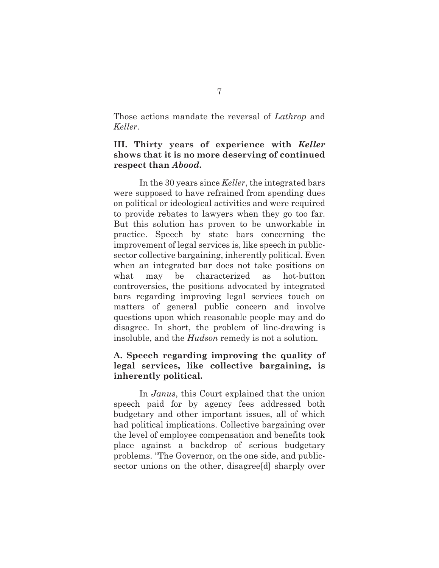Those actions mandate the reversal of *Lathrop* and *Keller*.

### **III. Thirty years of experience with** *Keller* **shows that it is no more deserving of continued respect than** *Abood***.**

 In the 30 years since *Keller*, the integrated bars were supposed to have refrained from spending dues on political or ideological activities and were required to provide rebates to lawyers when they go too far. But this solution has proven to be unworkable in practice. Speech by state bars concerning the improvement of legal services is, like speech in publicsector collective bargaining, inherently political. Even when an integrated bar does not take positions on what may be characterized as hot-button controversies, the positions advocated by integrated bars regarding improving legal services touch on matters of general public concern and involve questions upon which reasonable people may and do disagree. In short, the problem of line-drawing is insoluble, and the *Hudson* remedy is not a solution.

### **A. Speech regarding improving the quality of legal services, like collective bargaining, is inherently political.**

 In *Janus*, this Court explained that the union speech paid for by agency fees addressed both budgetary and other important issues, all of which had political implications. Collective bargaining over the level of employee compensation and benefits took place against a backdrop of serious budgetary problems. "The Governor, on the one side, and publicsector unions on the other, disagree<sup>[d]</sup> sharply over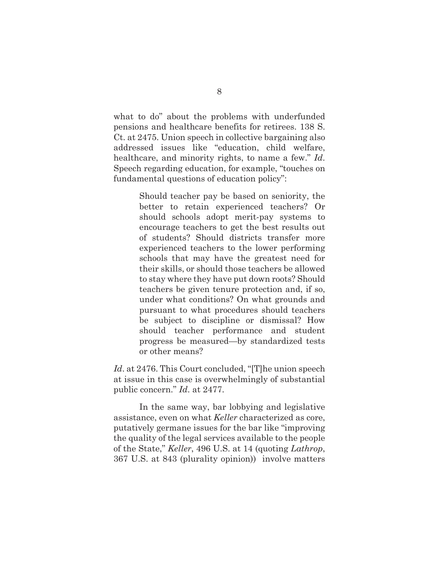what to do" about the problems with underfunded pensions and healthcare benefits for retirees. 138 S. Ct. at 2475. Union speech in collective bargaining also addressed issues like "education, child welfare, healthcare, and minority rights, to name a few." *Id*. Speech regarding education, for example, "touches on fundamental questions of education policy":

> Should teacher pay be based on seniority, the better to retain experienced teachers? Or should schools adopt merit-pay systems to encourage teachers to get the best results out of students? Should districts transfer more experienced teachers to the lower performing schools that may have the greatest need for their skills, or should those teachers be allowed to stay where they have put down roots? Should teachers be given tenure protection and, if so, under what conditions? On what grounds and pursuant to what procedures should teachers be subject to discipline or dismissal? How should teacher performance and student progress be measured—by standardized tests or other means?

Id. at 2476. This Court concluded, "[T]he union speech at issue in this case is overwhelmingly of substantial public concern." *Id*. at 2477.

 In the same way, bar lobbying and legislative assistance, even on what *Keller* characterized as core, putatively germane issues for the bar like "improving the quality of the legal services available to the people of the State," *Keller*, 496 U.S. at 14 (quoting *Lathrop*, 367 U.S. at 843 (plurality opinion)) involve matters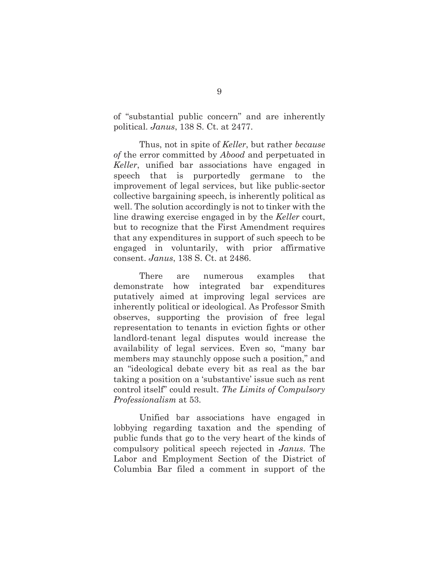of "substantial public concern" and are inherently political. *Janus*, 138 S. Ct. at 2477.

 Thus, not in spite of *Keller*, but rather *because of* the error committed by *Abood* and perpetuated in *Keller*, unified bar associations have engaged in speech that is purportedly germane to the improvement of legal services, but like public-sector collective bargaining speech, is inherently political as well. The solution accordingly is not to tinker with the line drawing exercise engaged in by the *Keller* court, but to recognize that the First Amendment requires that any expenditures in support of such speech to be engaged in voluntarily, with prior affirmative consent. *Janus*, 138 S. Ct. at 2486.

 There are numerous examples that demonstrate how integrated bar expenditures putatively aimed at improving legal services are inherently political or ideological. As Professor Smith observes, supporting the provision of free legal representation to tenants in eviction fights or other landlord-tenant legal disputes would increase the availability of legal services. Even so, "many bar members may staunchly oppose such a position," and an "ideological debate every bit as real as the bar taking a position on a 'substantive' issue such as rent control itself" could result. *The Limits of Compulsory Professionalism* at 53.

 Unified bar associations have engaged in lobbying regarding taxation and the spending of public funds that go to the very heart of the kinds of compulsory political speech rejected in *Janus*. The Labor and Employment Section of the District of Columbia Bar filed a comment in support of the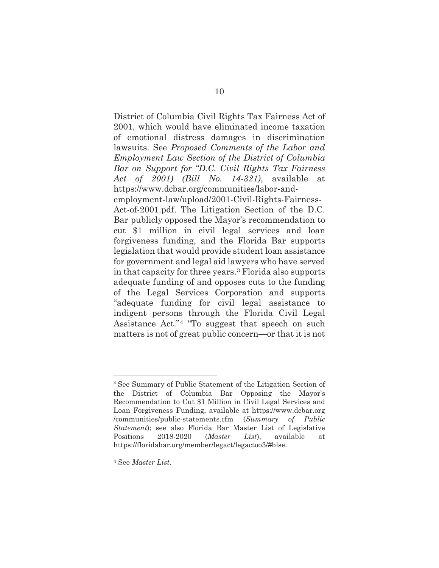District of Columbia Civil Rights Tax Fairness Act of 2001, which would have eliminated income taxation of emotional distress damages in discrimination lawsuits. See *Proposed Comments of the Labor and Employment Law Section of the District of Columbia Bar on Support for "D.C. Civil Rights Tax Fairness Act of 2001) (Bill No. 14-321)*, available at https://www.dcbar.org/communities/labor-andemployment-law/upload/2001-Civil-Rights-Fairness-Act-of-2001.pdf. The Litigation Section of the D.C.

Bar publicly opposed the Mayor's recommendation to cut \$1 million in civil legal services and loan forgiveness funding, and the Florida Bar supports legislation that would provide student loan assistance for government and legal aid lawyers who have served in that capacity for three years.3 Florida also supports adequate funding of and opposes cuts to the funding of the Legal Services Corporation and supports "adequate funding for civil legal assistance to indigent persons through the Florida Civil Legal Assistance Act."4 "To suggest that speech on such matters is not of great public concern—or that it is not

<sup>3</sup> See Summary of Public Statement of the Litigation Section of the District of Columbia Bar Opposing the Mayor's Recommendation to Cut \$1 Million in Civil Legal Services and Loan Forgiveness Funding, available at https://www.dcbar.org /communities/public-statements.cfm (*Summary of Public Statement*); see also Florida Bar Master List of Legislative Positions 2018-2020 (*Master List*), available at https://floridabar.org/member/legact/legactoo3/#blse.

<sup>4</sup> See *Master List*.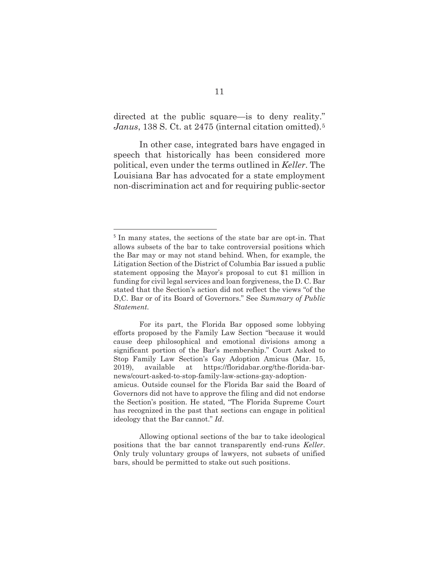directed at the public square—is to deny reality." *Janus*, 138 S. Ct. at 2475 (internal citation omitted).5

 In other case, integrated bars have engaged in speech that historically has been considered more political, even under the terms outlined in *Keller*. The Louisiana Bar has advocated for a state employment non-discrimination act and for requiring public-sector

<sup>5</sup> In many states, the sections of the state bar are opt-in. That allows subsets of the bar to take controversial positions which the Bar may or may not stand behind. When, for example, the Litigation Section of the District of Columbia Bar issued a public statement opposing the Mayor's proposal to cut \$1 million in funding for civil legal services and loan forgiveness, the D. C. Bar stated that the Section's action did not reflect the views "of the D,C. Bar or of its Board of Governors." See *Summary of Public Statement.*

For its part, the Florida Bar opposed some lobbying efforts proposed by the Family Law Section "because it would cause deep philosophical and emotional divisions among a significant portion of the Bar's membership." Court Asked to Stop Family Law Section's Gay Adoption Amicus (Mar. 15, 2019), available at https://floridabar.org/the-florida-barnews/court-asked-to-stop-family-law-sctions-gay-adoptionamicus. Outside counsel for the Florida Bar said the Board of Governors did not have to approve the filing and did not endorse the Section's position. He stated, "The Florida Supreme Court has recognized in the past that sections can engage in political ideology that the Bar cannot." *Id*.

Allowing optional sections of the bar to take ideological positions that the bar cannot transparently end-runs *Keller*. Only truly voluntary groups of lawyers, not subsets of unified bars, should be permitted to stake out such positions.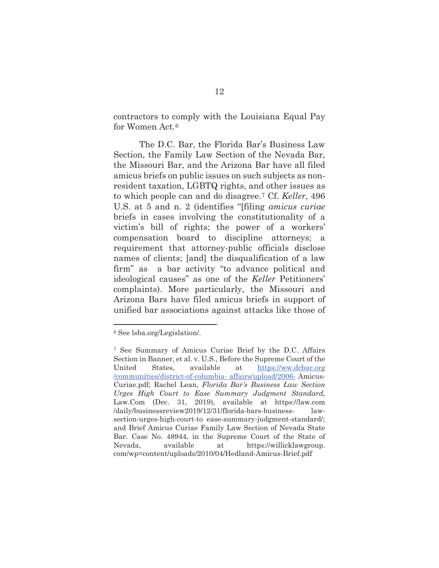contractors to comply with the Louisiana Equal Pay for Women Act.6

 The D.C. Bar, the Florida Bar's Business Law Section, the Family Law Section of the Nevada Bar, the Missouri Bar, and the Arizona Bar have all filed amicus briefs on public issues on such subjects as nonresident taxation, LGBTQ rights, and other issues as to which people can and do disagree.7 Cf. *Keller*, 496 U.S. at 5 and n. 2 (identifies "[filing *amicus curiae* briefs in cases involving the constitutionality of a victim's bill of rights; the power of a workers' compensation board to discipline attorneys; a requirement that attorney-public officials disclose names of clients; [and] the disqualification of a law firm" as a bar activity "to advance political and ideological causes" as one of the *Keller* Petitioners' complaints). More particularly, the Missouri and Arizona Bars have filed amicus briefs in support of unified bar associations against attacks like those of

<sup>6</sup> See lsba.org/Legislation/.

<sup>7</sup> See Summary of Amicus Curiae Brief by the D.C. Affairs Section in Banner, et al. v. U.S., Before the Supreme Court of the United States, available at https://ww.dcbar.org /communities/district-of-columbia- affairs/upload/2006- Amicus-Curiae.pdf; Rachel Lean, *Florida Bar's Business Law Section Urges High Court to Ease Summary Judgment Standard*, Law.Com (Dec. 31, 2019), available at https://law.com /daily/businessreview2019/12/31/florida-bars-business- lawsection-urges-high-court-to ease-summary-judgment-standard/; and Brief Amicus Curiae Family Law Section of Nevada State Bar. Case No. 48944, in the Supreme Court of the State of Nevada, available at https://willicklawgroup. com/wp=content/uploads/2010/04/Hedland-Amicus-Brief.pdf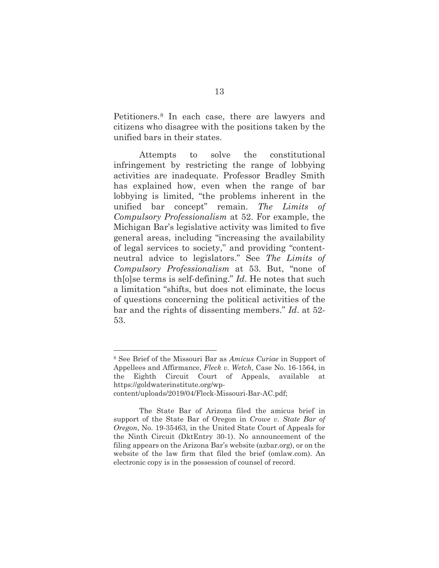Petitioners.8 In each case, there are lawyers and citizens who disagree with the positions taken by the unified bars in their states.

 Attempts to solve the constitutional infringement by restricting the range of lobbying activities are inadequate. Professor Bradley Smith has explained how, even when the range of bar lobbying is limited, "the problems inherent in the unified bar concept" remain. *The Limits of Compulsory Professionalism* at 52. For example, the Michigan Bar's legislative activity was limited to five general areas, including "increasing the availability of legal services to society," and providing "contentneutral advice to legislators." See *The Limits of Compulsory Professionalism* at 53. But, "none of th[o]se terms is self-defining." *Id*. He notes that such a limitation "shifts, but does not eliminate, the locus of questions concerning the political activities of the bar and the rights of dissenting members." *Id*. at 52- 53.

<sup>8</sup> See Brief of the Missouri Bar as *Amicus Curiae* in Support of Appellees and Affirmance, *Fleck v. Wetch*, Case No. 16-1564, in the Eighth Circuit Court of Appeals, available at https://goldwaterinstitute.org/wp-

content/uploads/2019/04/Fleck-Missouri-Bar-AC.pdf;

The State Bar of Arizona filed the amicus brief in support of the State Bar of Oregon in *Crowe v. State Bar of Oregon*, No. 19-35463, in the United State Court of Appeals for the Ninth Circuit (DktEntry 30-1). No announcement of the filing appears on the Arizona Bar's website (azbar.org), or on the website of the law firm that filed the brief (omlaw.com). An electronic copy is in the possession of counsel of record.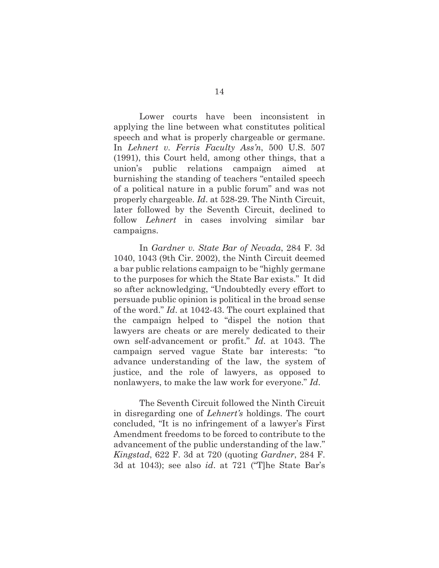Lower courts have been inconsistent in applying the line between what constitutes political speech and what is properly chargeable or germane. In *Lehnert v. Ferris Faculty Ass'n*, 500 U.S. 507 (1991), this Court held, among other things, that a union's public relations campaign aimed at burnishing the standing of teachers "entailed speech of a political nature in a public forum" and was not properly chargeable. *Id*. at 528-29. The Ninth Circuit, later followed by the Seventh Circuit, declined to follow *Lehnert* in cases involving similar bar campaigns.

 In *Gardner v. State Bar of Nevada*, 284 F. 3d 1040, 1043 (9th Cir. 2002), the Ninth Circuit deemed a bar public relations campaign to be "highly germane to the purposes for which the State Bar exists." It did so after acknowledging, "Undoubtedly every effort to persuade public opinion is political in the broad sense of the word." *Id*. at 1042-43. The court explained that the campaign helped to "dispel the notion that lawyers are cheats or are merely dedicated to their own self-advancement or profit." *Id*. at 1043. The campaign served vague State bar interests: "to advance understanding of the law, the system of justice, and the role of lawyers, as opposed to nonlawyers, to make the law work for everyone." *Id*.

 The Seventh Circuit followed the Ninth Circuit in disregarding one of *Lehnert's* holdings. The court concluded, "It is no infringement of a lawyer's First Amendment freedoms to be forced to contribute to the advancement of the public understanding of the law." *Kingstad*, 622 F. 3d at 720 (quoting *Gardner*, 284 F. 3d at 1043); see also *id*. at 721 ("T]he State Bar's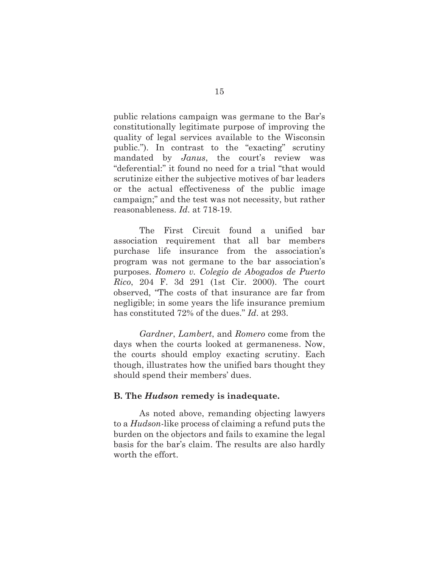public relations campaign was germane to the Bar's constitutionally legitimate purpose of improving the quality of legal services available to the Wisconsin public."). In contrast to the "exacting" scrutiny mandated by *Janus*, the court's review was "deferential:" it found no need for a trial "that would scrutinize either the subjective motives of bar leaders or the actual effectiveness of the public image campaign;" and the test was not necessity, but rather reasonableness. *Id*. at 718-19.

 The First Circuit found a unified bar association requirement that all bar members purchase life insurance from the association's program was not germane to the bar association's purposes. *Romero v. Colegio de Abogados de Puerto Rico*, 204 F. 3d 291 (1st Cir. 2000). The court observed, "The costs of that insurance are far from negligible; in some years the life insurance premium has constituted 72% of the dues." *Id*. at 293.

*Gardner*, *Lambert*, and *Romero* come from the days when the courts looked at germaneness. Now, the courts should employ exacting scrutiny. Each though, illustrates how the unified bars thought they should spend their members' dues.

#### **B. The** *Hudson* **remedy is inadequate.**

 As noted above, remanding objecting lawyers to a *Hudson*-like process of claiming a refund puts the burden on the objectors and fails to examine the legal basis for the bar's claim. The results are also hardly worth the effort.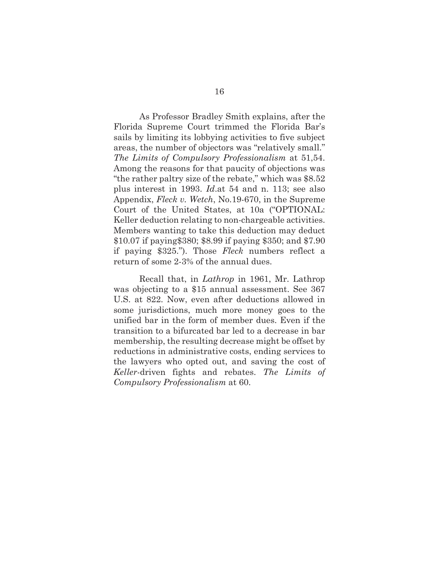As Professor Bradley Smith explains, after the Florida Supreme Court trimmed the Florida Bar's sails by limiting its lobbying activities to five subject areas, the number of objectors was "relatively small." *The Limits of Compulsory Professionalism* at 51,54. Among the reasons for that paucity of objections was "the rather paltry size of the rebate," which was \$8.52 plus interest in 1993. *Id*.at 54 and n. 113; see also Appendix, *Fleck v. Wetch*, No.19-670, in the Supreme Court of the United States, at 10a ("OPTIONAL: Keller deduction relating to non-chargeable activities. Members wanting to take this deduction may deduct \$10.07 if paying\$380; \$8.99 if paying \$350; and \$7.90 if paying \$325."). Those *Fleck* numbers reflect a return of some 2-3% of the annual dues.

 Recall that, in *Lathrop* in 1961, Mr. Lathrop was objecting to a \$15 annual assessment. See 367 U.S. at 822. Now, even after deductions allowed in some jurisdictions, much more money goes to the unified bar in the form of member dues. Even if the transition to a bifurcated bar led to a decrease in bar membership, the resulting decrease might be offset by reductions in administrative costs, ending services to the lawyers who opted out, and saving the cost of *Keller*-driven fights and rebates. *The Limits of Compulsory Professionalism* at 60.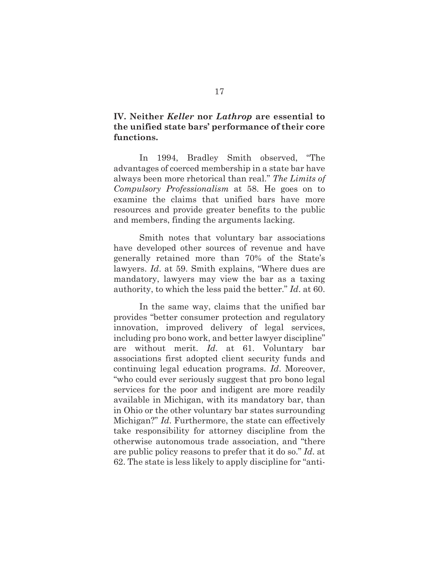### **IV. Neither** *Keller* **nor** *Lathrop* **are essential to the unified state bars' performance of their core functions.**

 In 1994, Bradley Smith observed, "The advantages of coerced membership in a state bar have always been more rhetorical than real." *The Limits of Compulsory Professionalism* at 58. He goes on to examine the claims that unified bars have more resources and provide greater benefits to the public and members, finding the arguments lacking.

 Smith notes that voluntary bar associations have developed other sources of revenue and have generally retained more than 70% of the State's lawyers. *Id*. at 59. Smith explains, "Where dues are mandatory, lawyers may view the bar as a taxing authority, to which the less paid the better." *Id*. at 60.

 In the same way, claims that the unified bar provides "better consumer protection and regulatory innovation, improved delivery of legal services, including pro bono work, and better lawyer discipline" are without merit. *Id*. at 61. Voluntary bar associations first adopted client security funds and continuing legal education programs. *Id*. Moreover, "who could ever seriously suggest that pro bono legal services for the poor and indigent are more readily available in Michigan, with its mandatory bar, than in Ohio or the other voluntary bar states surrounding Michigan?" *Id*. Furthermore, the state can effectively take responsibility for attorney discipline from the otherwise autonomous trade association, and "there are public policy reasons to prefer that it do so." *Id*. at 62. The state is less likely to apply discipline for "anti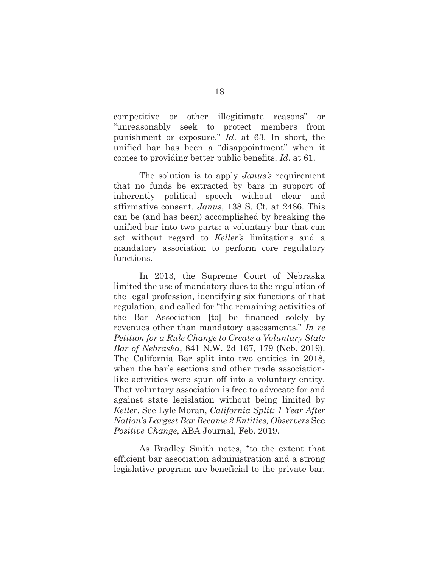competitive or other illegitimate reasons" or "unreasonably seek to protect members from punishment or exposure." *Id*. at 63. In short, the unified bar has been a "disappointment" when it comes to providing better public benefits. *Id*. at 61.

 The solution is to apply *Janus's* requirement that no funds be extracted by bars in support of inherently political speech without clear and affirmative consent. *Janus*, 138 S. Ct. at 2486. This can be (and has been) accomplished by breaking the unified bar into two parts: a voluntary bar that can act without regard to *Keller's* limitations and a mandatory association to perform core regulatory functions.

 In 2013, the Supreme Court of Nebraska limited the use of mandatory dues to the regulation of the legal profession, identifying six functions of that regulation, and called for "the remaining activities of the Bar Association [to] be financed solely by revenues other than mandatory assessments." *In re Petition for a Rule Change to Create a Voluntary State Bar of Nebraska*, 841 N.W. 2d 167, 179 (Neb. 2019). The California Bar split into two entities in 2018, when the bar's sections and other trade associationlike activities were spun off into a voluntary entity. That voluntary association is free to advocate for and against state legislation without being limited by *Keller*. See Lyle Moran, *California Split: 1 Year After Nation's Largest Bar Became 2 Entities, Observers* See *Positive Change*, ABA Journal, Feb. 2019.

 As Bradley Smith notes, "to the extent that efficient bar association administration and a strong legislative program are beneficial to the private bar,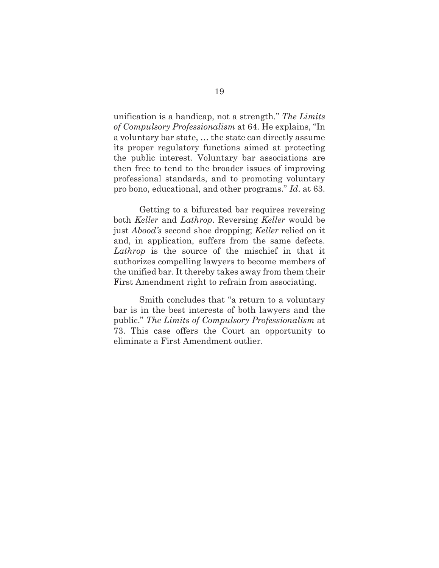unification is a handicap, not a strength." *The Limits of Compulsory Professionalism* at 64. He explains, "In a voluntary bar state, … the state can directly assume its proper regulatory functions aimed at protecting the public interest. Voluntary bar associations are then free to tend to the broader issues of improving professional standards, and to promoting voluntary pro bono, educational, and other programs." *Id*. at 63.

 Getting to a bifurcated bar requires reversing both *Keller* and *Lathrop*. Reversing *Keller* would be just *Abood's* second shoe dropping; *Keller* relied on it and, in application, suffers from the same defects. *Lathrop* is the source of the mischief in that it authorizes compelling lawyers to become members of the unified bar. It thereby takes away from them their First Amendment right to refrain from associating.

 Smith concludes that "a return to a voluntary bar is in the best interests of both lawyers and the public." *The Limits of Compulsory Professionalism* at 73. This case offers the Court an opportunity to eliminate a First Amendment outlier.